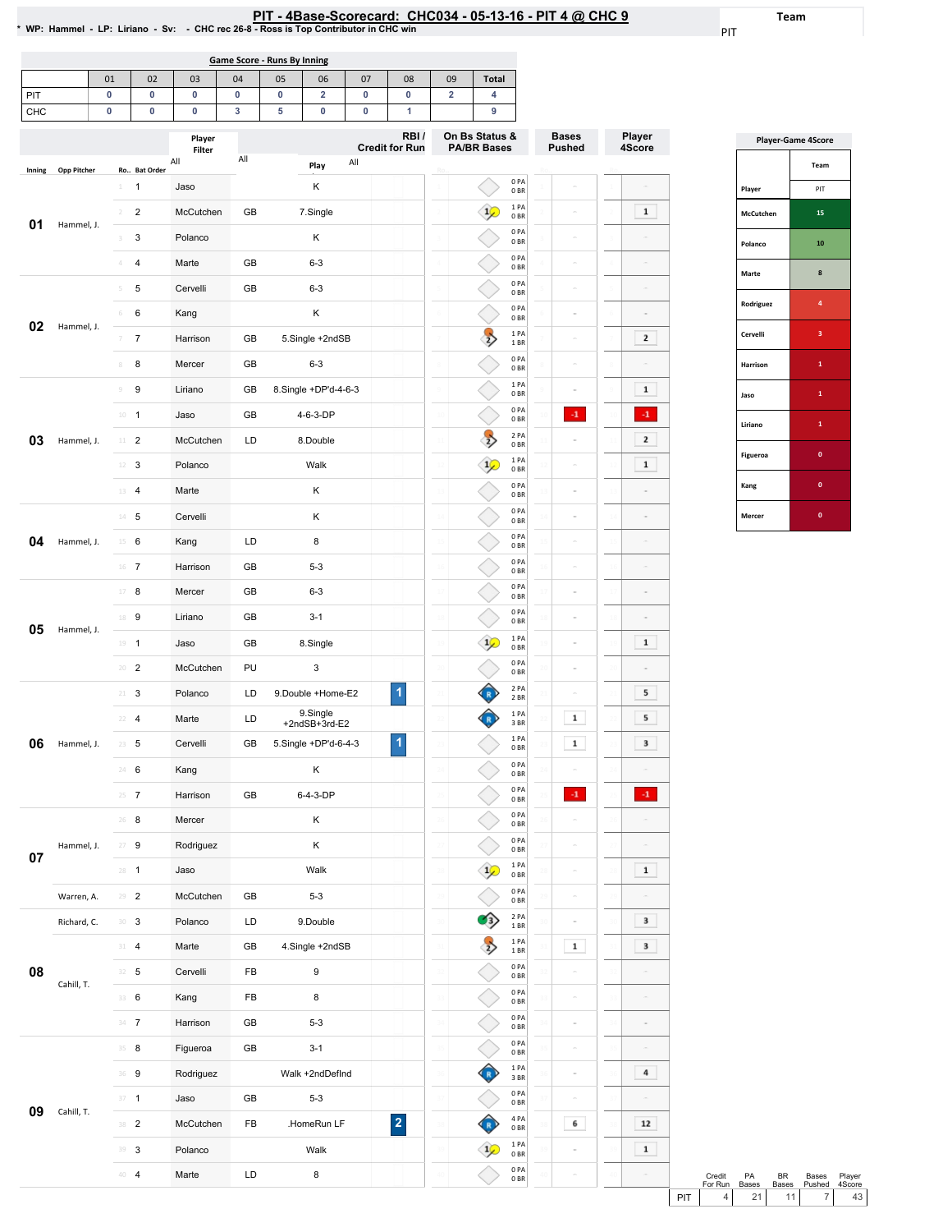## PIT - 4Base-Scorecard: CHC034 - 05-13-16 - PIT 4 @ CHC 9 \* /vP: Hammel - LP: Liriano - Sv: - CHC rec 26-8 - Ross is Top Contributor in CHC win

PIT

Team

| Game Score - Runs By Inning |    |    |    |    |    |    |    |    |    |              |
|-----------------------------|----|----|----|----|----|----|----|----|----|--------------|
|                             | 01 | 02 | 03 | 04 | 05 | 06 | 07 | 08 | 09 | <b>Total</b> |
| PIT                         |    |    |    |    |    |    |    |    |    |              |
| CHC                         |    |    |    |    |    |    |    |    |    |              |
|                             |    |    |    |    |    |    |    |    |    |              |

|        |                    |                                  | Player<br>Filter |     |                           | RBI/<br><b>Credit for Run</b> |                 | On Bs Status &<br><b>PA/BR Bases</b> |                          | <b>Bases</b><br>Pushed | Player<br>4Score |
|--------|--------------------|----------------------------------|------------------|-----|---------------------------|-------------------------------|-----------------|--------------------------------------|--------------------------|------------------------|------------------|
| Inning | <b>Opp Pitcher</b> | Ro Bat Order                     | All              | All | All<br>Play               |                               |                 |                                      |                          |                        |                  |
|        |                    | $\mathbf{1}$<br>$\perp$          | Jaso             |     | Κ                         |                               |                 |                                      | 0PA<br>0BR               |                        |                  |
| 01     |                    | $\overline{2}$<br>$\sqrt{2}$     | McCutchen        | GB  | 7.Single                  |                               |                 |                                      | 1PA<br>0BR               |                        | $\mathbf 1$      |
|        | Hammel, J.         | 3<br>3                           | Polanco          |     | Κ                         |                               |                 |                                      | 0PA<br>0 <sub>BR</sub>   |                        |                  |
|        |                    | $\overline{4}$<br>4              | Marte            | GB  | $6 - 3$                   |                               |                 |                                      | 0PA<br>0BR               |                        |                  |
|        |                    | 5<br>5                           | Cervelli         | GB  | $6 - 3$                   |                               |                 |                                      | 0PA<br>0 <sub>BR</sub>   |                        |                  |
|        |                    | 6<br>$\,$ 6                      | Kang             |     | Κ                         |                               |                 |                                      | 0 PA<br>0 <sub>BR</sub>  |                        | ä                |
| 02     | Hammel, J.         | $\overline{7}$<br>$\overline{7}$ | Harrison         | GB  | 5.Single +2ndSB           |                               |                 | $\frac{1}{2}$                        | 1PA<br>1 BR              |                        | $\mathbf{2}$     |
|        |                    | 8<br>8                           | Mercer           | GB  | $6 - 3$                   |                               |                 |                                      | 0PA<br>0 BR              |                        |                  |
|        |                    | 9<br>$\mathcal G$                | Liriano          | GB  | 8.Single +DP'd-4-6-3      |                               |                 |                                      | 1 PA<br>0BR              |                        | $\mathbf 1$      |
|        |                    | $10 -$<br>$\mathbf{1}$           | Jaso             | GB  | 4-6-3-DP                  |                               | $\overline{10}$ |                                      | 0PA<br>0BR               | $\cdot$ 1              | $\cdot 1$        |
| 03     | Hammel, J.         | $\overline{2}$<br>$11 -$         | McCutchen        | LD  | 8.Double                  |                               |                 | $\Rightarrow$                        | 2 PA<br>0 <sub>BR</sub>  |                        | $\mathbf 2$      |
|        |                    | 3<br>12                          | Polanco          |     | Walk                      |                               | $\mathbf{1}$    | $\frac{1}{2}$                        | 1PA<br>0BR               |                        | $\mathbf 1$      |
|        |                    | 4<br>13                          | Marte            |     | Κ                         |                               |                 |                                      | 0PA<br>0 <sub>BR</sub>   |                        |                  |
|        |                    | 5<br>$14 -$                      | Cervelli         |     | Κ                         |                               | 14              |                                      | 0PA<br>0 <sub>BR</sub>   |                        | $\overline{a}$   |
| 04     | Hammel, J.         | 6<br>15                          | Kang             | LD  | 8                         |                               | $\overline{1}$  |                                      | 0PA<br>0 BR              |                        |                  |
|        |                    | 16<br>$\overline{7}$             | Harrison         | GB  | $5 - 3$                   |                               |                 |                                      | 0PA<br>0BR               |                        |                  |
|        |                    | 17<br>8                          | Mercer           | GB  | $6 - 3$                   |                               | 17              |                                      | 0PA<br>0 <sub>BR</sub>   |                        |                  |
|        |                    | 9<br>18                          | Liriano          | GB  | $3 - 1$                   |                               | $\mathbf{1}$    |                                      | 0PA<br>0 <sub>BR</sub>   |                        |                  |
| 05     | Hammel, J.         | $\mathbf{1}$<br>19               | Jaso             | GB  | 8.Single                  |                               | 19              | $\frac{1}{2}$                        | 1PA<br>0 <sub>BR</sub>   |                        | $\mathbf 1$      |
|        |                    | $\overline{2}$<br>20             | McCutchen        | PU  | 3                         |                               |                 |                                      | 0PA<br>0 <sub>BR</sub>   |                        | ä                |
|        |                    | 3<br>$21 -$                      | Polanco          | LD  | 9.Double +Home-E2         | $\overline{1}$                | $\mathbf{Z}$    |                                      | 2 PA<br>2 BR             |                        | 5                |
|        |                    | $\overline{4}$<br>22             | Marte            | LD  | 9.Single<br>+2ndSB+3rd-E2 |                               | 22              |                                      | 1PA<br>3BR               | $\mathbf 1$            | 5                |
| 06     | Hammel, J.         | 5<br>23                          | Cervelli         | GB  | 5.Single +DP'd-6-4-3      | $\overline{1}$                | $^{2}$          |                                      | 1PA<br>0 <sub>BR</sub>   | $\mathbf 1$            | 3                |
|        |                    | 6<br>24                          | Kang             |     | Κ                         |                               | $_{24}$         |                                      | 0PA<br>0 <sub>BR</sub>   |                        |                  |
|        |                    | 25<br>7                          | Harrison         | GB  | 6-4-3-DP                  |                               |                 |                                      | 0PA<br>0 <sub>BR</sub>   | $\mathbf{-1}$          | $\cdot 1$        |
|        |                    | 26<br>8                          | Mercer           |     | Κ                         |                               |                 |                                      | 0PA<br>0 <sub>BR</sub>   |                        |                  |
|        | Hammel, J.         | 9<br>27                          | Rodriguez        |     | Κ                         |                               |                 |                                      | 0PA<br>0B                |                        |                  |
| 07     |                    | $28 - 1$                         | Jaso             |     | Walk                      |                               | 28              | $\frac{1}{2}$                        | 1PA<br>0 <sub>BR</sub>   |                        | $\mathbf 1$      |
|        | Warren, A.         | $29 - 2$                         | McCutchen        | GB  | $5 - 3$                   |                               |                 |                                      | 0PA<br>0B                |                        |                  |
|        | Richard, C.        | 30<br>3                          | Polanco          | LD  | 9.Double                  |                               |                 | В                                    | 2 PA<br>$1\,\mathrm{BR}$ |                        | 3                |
|        |                    | 31<br>$\overline{\mathbf{4}}$    | Marte            | GB  | 4.Single +2ndSB           |                               | 31              | $\Rightarrow$                        | 1PA<br>1 BR              | $\mathbf 1$            | 3                |
| 08     |                    | 5<br>32                          | Cervelli         | FB  | 9                         |                               |                 |                                      | 0PA<br>0 <sub>BR</sub>   |                        |                  |
|        | Cahill, T.         | 6<br>33                          | Kang             | FB  | 8                         |                               | 33              |                                      | 0PA<br>0B                |                        |                  |
|        |                    | $\boldsymbol{7}$<br>34           | Harrison         | GB  | $5 - 3$                   |                               |                 |                                      | 0PA<br>0 <sub>BR</sub>   |                        | ä                |
|        |                    | 35<br>8                          | Figueroa         | GB  | $3 - 1$                   |                               | 35              |                                      | 0PA<br>0 <sub>BR</sub>   |                        |                  |
|        |                    | 9<br>36                          | Rodriguez        |     | Walk +2ndDefInd           |                               |                 |                                      | 1PA<br>3 BR              |                        | 4                |
|        |                    | $\overline{1}$<br>37             | Jaso             | GB  | $5 - 3$                   |                               |                 |                                      | 0 PA<br>0 BR             |                        |                  |
| 09     | Cahill, T.         | 38 2                             | McCutchen        | FB  | .HomeRun LF               | $\overline{\mathbf{2}}$       | 38              |                                      | 4 PA<br>0B               | 6                      | 12               |
|        |                    | 39<br>3                          | Polanco          |     | Walk                      |                               | 39              |                                      | 1PA<br>0BR               |                        | $\mathbf 1$      |
|        |                    | 40 4                             | Marte            | LD  | 8                         |                               |                 |                                      | 0 PA<br>0B               |                        | $\overline{a}$   |

| <b>Player-Game 4Score</b> |                         |  |  |  |  |  |  |
|---------------------------|-------------------------|--|--|--|--|--|--|
|                           | Team                    |  |  |  |  |  |  |
| Player                    | PIT                     |  |  |  |  |  |  |
| McCutchen                 | 15                      |  |  |  |  |  |  |
| Polanco                   | 10                      |  |  |  |  |  |  |
| Marte                     | 8                       |  |  |  |  |  |  |
| Rodriguez                 | 4                       |  |  |  |  |  |  |
| Cervelli                  | $\overline{\mathbf{3}}$ |  |  |  |  |  |  |
| Harrison                  | $\mathbf{1}$            |  |  |  |  |  |  |
| Jaso                      | $\mathbf{1}$            |  |  |  |  |  |  |
| Liriano                   | $\mathbf{1}$            |  |  |  |  |  |  |
| Figueroa                  | $\bf{0}$                |  |  |  |  |  |  |
| Kang                      | $\mathbf{0}$            |  |  |  |  |  |  |
| Mercer                    | $\bf{0}$                |  |  |  |  |  |  |

|     | Credit  | PA           | <b>BR</b>       | Bases  | Player |
|-----|---------|--------------|-----------------|--------|--------|
|     | For Run | <b>Bases</b> | <b>Bases</b>    | Pushed | 4Score |
| PIT |         | 21           | 11 <sup>1</sup> |        | 43     |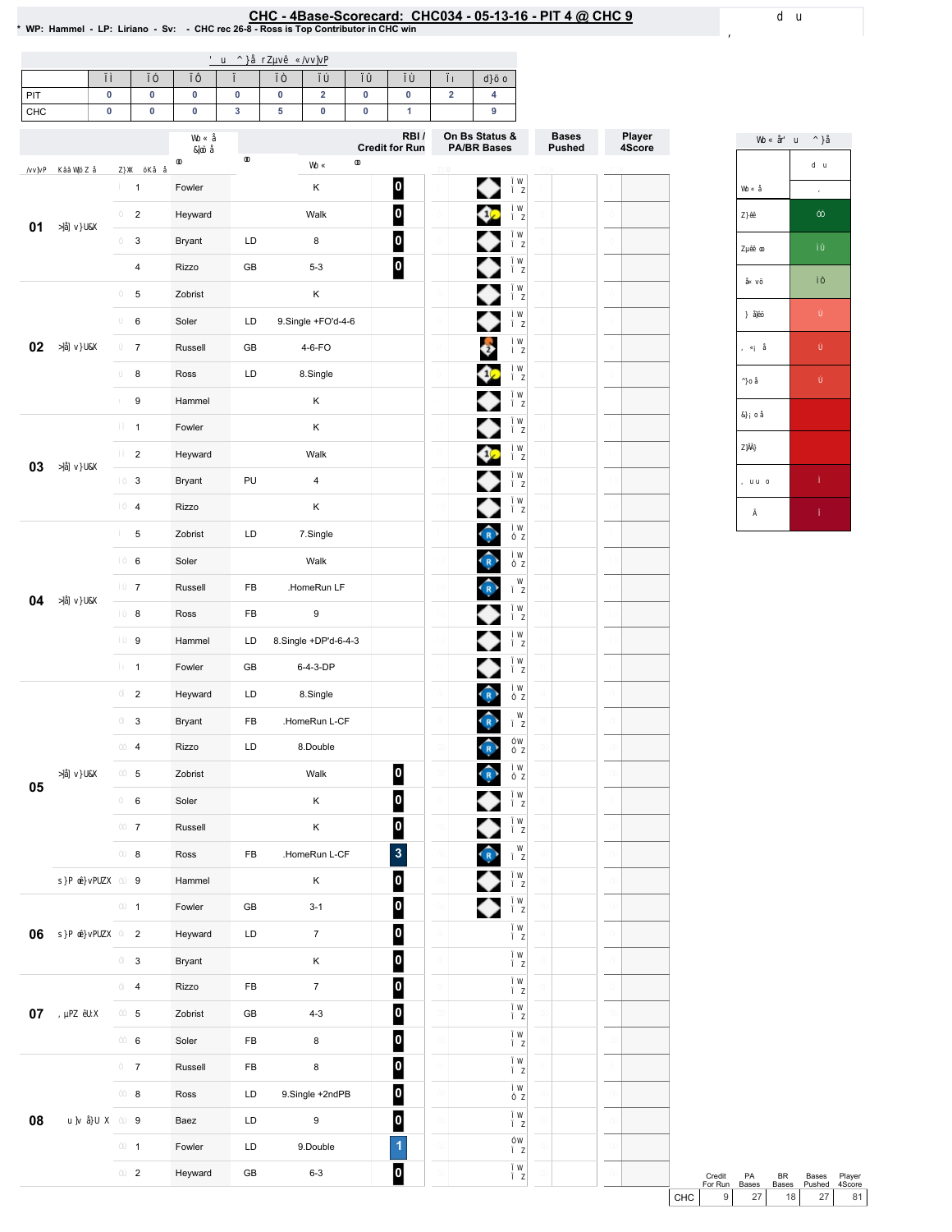## EHC-4Base-Scorecard: CHC034 - 05-13-16 - PIT 4 @ CHC 9 ـ The was defined a series of the Scorecard: CHC034 - 05-13-16 - PIT 4 & CHC 9 ـ wp: Hammel - LP: Liriano - Sv: - CHCrec 26-8 - Ross is Top Contributor in CHC win

| PIT<br>CHC | 0         | 0                | $\pmb{0}$    | $\pmb{0}$     | 0 | $\overline{\mathbf{2}}$<br>$\pmb{0}$ | $\pmb{0}$ | 0                       | $\mathbf 2$ | 4                          |              |        |
|------------|-----------|------------------|--------------|---------------|---|--------------------------------------|-----------|-------------------------|-------------|----------------------------|--------------|--------|
|            | $\pmb{0}$ | $\pmb{0}$        | $\pmb{0}$    | $\mathbf 3$   | 5 |                                      | $\pmb{0}$ | 1<br>RBI/               |             | 9<br>On Bs Status &        | <b>Bases</b> | Player |
|            |           |                  |              |               |   |                                      |           | <b>Credit for Run</b>   |             | <b>PA/BR Bases</b>         | Pushed       | 4Score |
|            |           | $\mathbf{1}$     | Fowler       |               |   | Κ                                    |           | $\vert 0 \vert$         |             | ◆                          |              |        |
|            |           | $\overline{c}$   | Heyward      |               |   | Walk                                 |           | $\overline{\mathbf{0}}$ |             | Ø                          |              |        |
| 01         |           | 3                | Bryant       | LD            |   | 8                                    |           | $\overline{\mathbf{0}}$ |             | ◆                          |              |        |
|            |           | 4                | Rizzo        | GB            |   | $5 - 3$                              |           | $\overline{\mathbf{0}}$ |             | ◆                          |              |        |
|            |           | 5                | Zobrist      |               |   | Κ                                    |           |                         |             | ◆                          |              |        |
|            |           | 6                | Soler        | LD            |   | 9.Single +FO'd-4-6                   |           |                         |             | ♦                          |              |        |
| 02         |           | $\boldsymbol{7}$ | Russell      | GB            |   | 4-6-FO                               |           |                         |             | Ø                          |              |        |
|            |           | 8                | Ross         | LD            |   | 8.Single                             |           |                         |             | ♦                          |              |        |
|            |           | 9                | Hammel       |               |   | Κ                                    |           |                         |             | ◆                          |              |        |
|            |           | $\mathbf{1}$     | Fowler       |               |   | Κ                                    |           |                         |             | ♦                          |              |        |
|            |           | $\overline{c}$   | Heyward      |               |   | Walk                                 |           |                         |             | ¢                          |              |        |
| 03         |           | 3                | Bryant       | PU            |   | $\pmb{4}$                            |           |                         |             | ◆                          |              |        |
|            |           | 4                | <b>Rizzo</b> |               |   | Κ                                    |           |                         |             | ♦                          |              |        |
|            |           | 5                | Zobrist      | LD            |   | 7.Single                             |           |                         |             | $\bigcap$                  |              |        |
|            |           | 6                | Soler        |               |   | Walk                                 |           |                         |             | $\hat{R}$                  |              |        |
| 04         |           | $\boldsymbol{7}$ | Russell      | FB            |   | .HomeRun LF                          |           |                         |             | $\hat{R}$                  |              |        |
|            |           | 8                | Ross         | FB            |   | 9                                    |           |                         |             | ◆                          |              |        |
|            |           | 9                | Hammel       | LD            |   | 8.Single +DP'd-6-4-3                 |           |                         |             | ◆                          |              |        |
|            |           | $\mathbf{1}$     | Fowler       | GB            |   | 6-4-3-DP                             |           |                         |             | ◆                          |              |        |
|            |           | $\overline{c}$   | Heyward      | LD            |   | 8.Single                             |           |                         |             | $\left(\frac{1}{R}\right)$ |              |        |
|            |           | 3                | Bryant       | FB            |   | .HomeRun L-CF                        |           |                         |             | $\widehat{\mathbf{R}}$     |              |        |
|            |           | 4                | Rizzo        | LD            |   | 8.Double                             |           |                         |             | R                          |              |        |
|            |           | 5                | Zobrist      |               |   | Walk                                 |           | $\overline{\mathbf{0}}$ |             | $\hat{R}$                  |              |        |
| 05         |           | 6                | Soler        |               |   | Κ                                    |           | $\overline{\mathbf{0}}$ |             | ♦                          |              |        |
|            |           | $\boldsymbol{7}$ | Russell      |               |   | Κ                                    |           | $\overline{\mathbf{0}}$ |             | ♦                          |              |        |
|            |           | 8                | Ross         | ${\sf FB}$    |   | .HomeRun L-CF                        |           | $\overline{\mathbf{3}}$ |             | $\hat{R}$                  |              |        |
|            |           | 9                | Hammel       |               |   | Κ                                    |           | $\overline{\mathbf{0}}$ |             | ♦                          |              |        |
|            |           | $\mathbf{1}$     | Fowler       | $\mathsf{GB}$ |   | $3 - 1$                              |           | $\overline{\mathbf{0}}$ |             | ◆                          |              |        |
| 06         |           | $\overline{c}$   | Heyward      | LD            |   | $\boldsymbol{7}$                     |           | $\overline{\mathbf{0}}$ |             |                            |              |        |
|            |           | 3                | Bryant       |               |   | Κ                                    |           | $\overline{\mathbf{0}}$ |             |                            |              |        |
|            |           | 4                | Rizzo        | FB            |   | $\overline{7}$                       |           | $\overline{\mathbf{0}}$ |             |                            |              |        |
| $07\,$     |           | 5                | Zobrist      | GB            |   | $4 - 3$                              |           | $\overline{\mathbf{0}}$ |             |                            |              |        |
|            |           | 6                | Soler        | FB            |   | $\bf8$                               |           | $\overline{\mathbf{0}}$ |             |                            |              |        |
|            |           | $\overline{7}$   | Russell      | FB            |   | $\bf8$                               |           | $\overline{\mathbf{0}}$ |             |                            |              |        |
|            |           | 8                | Ross         | LD            |   | 9.Single +2ndPB                      |           | $\overline{\mathbf{0}}$ |             |                            |              |        |
| 08         |           | 9                | Baez         | LD            |   | $\boldsymbol{9}$                     |           | $\overline{\mathbf{0}}$ |             |                            |              |        |
|            |           | $\mathbf{1}$     | Fowler       | LD            |   | 9.Double                             |           | $\blacktriangleleft$    |             |                            |              |        |
|            |           | $\mathbf 2$      | Heyward      | GB            |   | $6 - 3$                              |           | 0                       |             |                            |              |        |



Credit PA BR Bases Player<br>
For Run Bases Bases Pushed 4Score<br>
CHC 9 27 18 27 81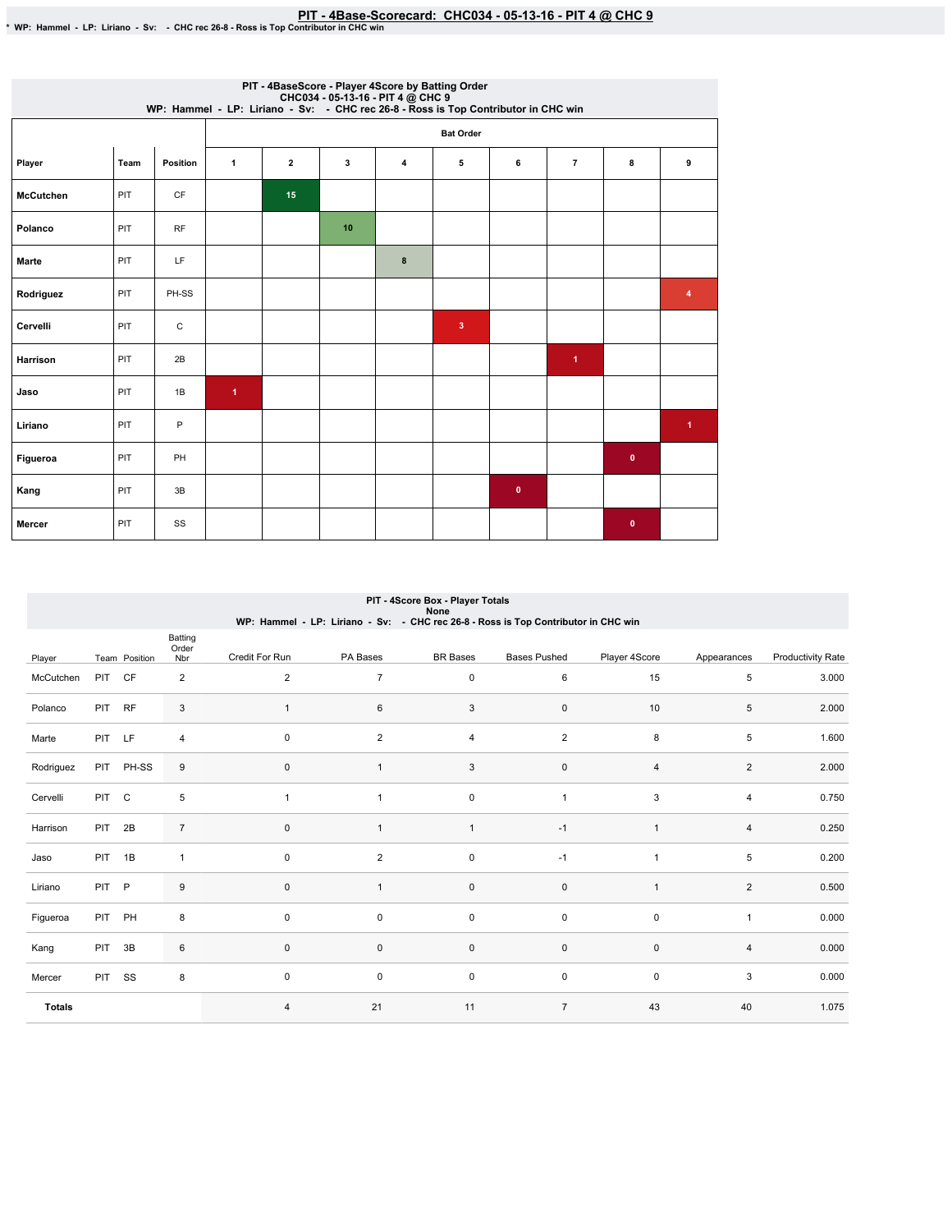## PIT - 4Base-Scorecard: CHC034 - 05-13-16 - PIT 4 @ CHC 9 - \* WP: Hammel - LP: Liriano - Sv: - CHC rec 26-8 - Ross is Top Contributor in CHC win

|                  |      |           |                      |                         | PIT - 4BaseScore - Player 4Score by Batting Order<br>WP: Hammel - LP: Liriano - Sv: - CHC034 - 05-13-16 - PIT 4 @ CHC 9<br>WP: Hammel - LP: Liriano - Sv: - CHC rec 26-8 - Ross is Top Contributor in CHC win |   |                         |           |                |             |                      |
|------------------|------|-----------|----------------------|-------------------------|---------------------------------------------------------------------------------------------------------------------------------------------------------------------------------------------------------------|---|-------------------------|-----------|----------------|-------------|----------------------|
|                  |      |           |                      |                         |                                                                                                                                                                                                               |   | <b>Bat Order</b>        |           |                |             |                      |
| Player           | Team | Position  | $\mathbf{1}$         | $\overline{\mathbf{2}}$ | 3                                                                                                                                                                                                             | 4 | 5                       | 6         | $\overline{7}$ | 8           | 9                    |
| <b>McCutchen</b> | PIT  | <b>CF</b> |                      | 15                      |                                                                                                                                                                                                               |   |                         |           |                |             |                      |
| Polanco          | PIT  | RF        |                      |                         | 10                                                                                                                                                                                                            |   |                         |           |                |             |                      |
| Marte            | PIT  | LF        |                      |                         |                                                                                                                                                                                                               | 8 |                         |           |                |             |                      |
| Rodriguez        | PIT  | PH-SS     |                      |                         |                                                                                                                                                                                                               |   |                         |           |                |             | 4                    |
| Cervelli         | PIT  | С         |                      |                         |                                                                                                                                                                                                               |   | $\overline{\mathbf{3}}$ |           |                |             |                      |
| <b>Harrison</b>  | PIT  | 2B        |                      |                         |                                                                                                                                                                                                               |   |                         |           | 1.             |             |                      |
| Jaso             | PIT  | 1B        | $\blacktriangleleft$ |                         |                                                                                                                                                                                                               |   |                         |           |                |             |                      |
| Liriano          | PIT  | P         |                      |                         |                                                                                                                                                                                                               |   |                         |           |                |             | $\blacktriangleleft$ |
| Figueroa         | PIT  | PH        |                      |                         |                                                                                                                                                                                                               |   |                         |           |                | $\mathbf 0$ |                      |
| Kang             | PIT  | 3B        |                      |                         |                                                                                                                                                                                                               |   |                         | $\bullet$ |                |             |                      |
| Mercer           | PIT  | SS        |                      |                         |                                                                                                                                                                                                               |   |                         |           |                | $\mathbf 0$ |                      |

|               | PIT - 4Score Box - Player Totals<br>None<br>WP: Hammel - LP: Liriano - Sv: - CHC rec 26-8 - Ross is Top Contributor in CHC win |               |                         |                     |                         |                 |                     |                |                |                          |  |  |
|---------------|--------------------------------------------------------------------------------------------------------------------------------|---------------|-------------------------|---------------------|-------------------------|-----------------|---------------------|----------------|----------------|--------------------------|--|--|
| Player        |                                                                                                                                | Team Position | Batting<br>Order<br>Nbr | Credit For Run      | PA Bases                | <b>BR</b> Bases | <b>Bases Pushed</b> | Player 4Score  | Appearances    | <b>Productivity Rate</b> |  |  |
| McCutchen     | <b>PIT</b>                                                                                                                     | CF            | $\overline{2}$          | 2                   | $\overline{7}$          | $\mathbf 0$     | 6                   | 15             | 5              | 3.000                    |  |  |
| Polanco       | PIT RF                                                                                                                         |               | 3                       | $\mathbf{1}$        | 6                       | 3               | $\mathbf 0$         | 10             | 5              | 2.000                    |  |  |
| Marte         | PIT LF                                                                                                                         |               | 4                       | $\mathbf 0$         | $\overline{\mathbf{c}}$ | $\overline{4}$  | $\overline{c}$      | 8              | 5              | 1.600                    |  |  |
| Rodriguez     |                                                                                                                                | PIT PH-SS     | 9                       | $\mathbf 0$         | $\mathbf{1}$            | 3               | 0                   | $\overline{4}$ | $\overline{2}$ | 2.000                    |  |  |
| Cervelli      | PIT C                                                                                                                          |               | 5                       | $\overline{1}$      | 1                       | $\mathsf 0$     | $\mathbf{1}$        | 3              | $\overline{4}$ | 0.750                    |  |  |
| Harrison      | PIT 2B                                                                                                                         |               | $\overline{7}$          | $\mathsf{O}\xspace$ | $\mathbf{1}$            | $\overline{1}$  | $-1$                | $\overline{1}$ | 4              | 0.250                    |  |  |
| Jaso          | PIT 1B                                                                                                                         |               | $\mathbf{1}$            | $\mathbf 0$         | $\overline{\mathbf{c}}$ | $\mathsf 0$     | $-1$                | $\overline{1}$ | 5              | 0.200                    |  |  |
| Liriano       | PIT P                                                                                                                          |               | 9                       | $\mathsf{O}\xspace$ | $\mathbf{1}$            | $\pmb{0}$       | $\pmb{0}$           | $\overline{1}$ | $\overline{2}$ | 0.500                    |  |  |
| Figueroa      | PIT PH                                                                                                                         |               | 8                       | $\mathbf 0$         | 0                       | 0               | 0                   | $\pmb{0}$      | $\mathbf{1}$   | 0.000                    |  |  |
| Kang          | PIT                                                                                                                            | 3B            | 6                       | $\pmb{0}$           | 0                       | $\mathbf 0$     | $\pmb{0}$           | $\mathbf 0$    | 4              | 0.000                    |  |  |
| Mercer        | <b>PIT</b>                                                                                                                     | SS            | 8                       | $\mathbf 0$         | 0                       | $\mathsf 0$     | 0                   | 0              | 3              | 0.000                    |  |  |
| <b>Totals</b> |                                                                                                                                |               |                         | $\overline{4}$      | 21                      | 11              | $\overline{7}$      | 43             | 40             | 1.075                    |  |  |

# PIT-4ScoreBox-PlayerTotals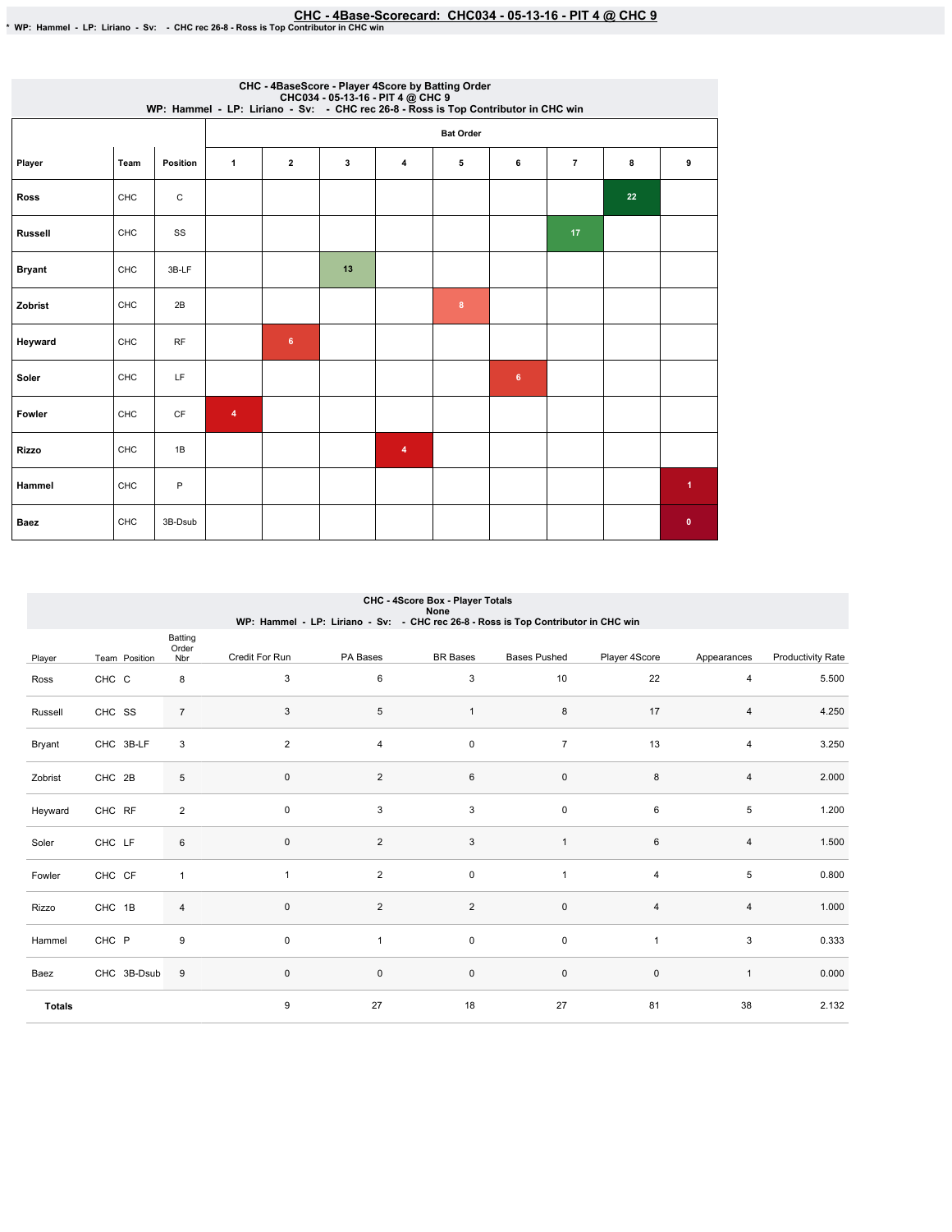## EHC - 4Base-Scorecard: CHC034 - 05-13-16 - PIT 4 @ CHC 9 - ♦ WP: Hammel - LP: Liriano - Sv: - CHCrec 26-8 - Ross is Top Contributor in CHC win

|                |            |          |              |                |    | CHC - 4BaseScore - Player 4Score by Batting Order<br>CHC034 - 05-13-16 - PIT 4 @ CHC 9<br>WP: Hammel - LP: Liriano - Sv: - CHC rec 26-8 - Ross is Top Contributor in CHC win |                  |   |                |    |                |
|----------------|------------|----------|--------------|----------------|----|------------------------------------------------------------------------------------------------------------------------------------------------------------------------------|------------------|---|----------------|----|----------------|
|                |            |          |              |                |    |                                                                                                                                                                              | <b>Bat Order</b> |   |                |    |                |
| Player         | Team       | Position | $\mathbf{1}$ | $\mathbf{2}$   | 3  | $\pmb{4}$                                                                                                                                                                    | 5                | 6 | $\overline{7}$ | 8  | 9              |
| <b>Ross</b>    | CHC        | С        |              |                |    |                                                                                                                                                                              |                  |   |                | 22 |                |
| <b>Russell</b> | CHC        | SS       |              |                |    |                                                                                                                                                                              |                  |   | 17             |    |                |
| <b>Bryant</b>  | CHC        | 3B-LF    |              |                | 13 |                                                                                                                                                                              |                  |   |                |    |                |
| Zobrist        | <b>CHC</b> | 2B       |              |                |    |                                                                                                                                                                              | 8                |   |                |    |                |
| Heyward        | CHC        | RF       |              | $6\phantom{a}$ |    |                                                                                                                                                                              |                  |   |                |    |                |
| Soler          | CHC        | LF       |              |                |    |                                                                                                                                                                              |                  | 6 |                |    |                |
| Fowler         | CHC        | CF       | 4            |                |    |                                                                                                                                                                              |                  |   |                |    |                |
| <b>Rizzo</b>   | <b>CHC</b> | 1B       |              |                |    | 4                                                                                                                                                                            |                  |   |                |    |                |
| Hammel         | CHC        | P        |              |                |    |                                                                                                                                                                              |                  |   |                |    | $\overline{1}$ |
| <b>Baez</b>    | CHC        | 3B-Dsub  |              |                |    |                                                                                                                                                                              |                  |   |                |    | $\mathbf 0$    |

|               | CHC - 4Score Box - Player Totals<br>None<br>WP: Hammel - LP: Liriano - Sv: - CHC rec 26-8 - Ross is Top Contributor in CHC win |                         |                |                |                     |                     |                |              |                          |  |  |  |
|---------------|--------------------------------------------------------------------------------------------------------------------------------|-------------------------|----------------|----------------|---------------------|---------------------|----------------|--------------|--------------------------|--|--|--|
| Player        | Team Position                                                                                                                  | Batting<br>Order<br>Nbr | Credit For Run | PA Bases       | <b>BR</b> Bases     | <b>Bases Pushed</b> | Player 4Score  | Appearances  | <b>Productivity Rate</b> |  |  |  |
| Ross          | CHC C                                                                                                                          | 8                       | 3              | 6              | 3                   | 10                  | 22             | 4            | 5.500                    |  |  |  |
| Russell       | CHC SS                                                                                                                         | $\overline{7}$          | 3              | 5              | $\mathbf{1}$        | 8                   | 17             | 4            | 4.250                    |  |  |  |
| Bryant        | CHC 3B-LF                                                                                                                      | 3                       | 2              | 4              | $\mathsf{O}\xspace$ | $\overline{7}$      | 13             | 4            | 3.250                    |  |  |  |
| Zobrist       | CHC 2B                                                                                                                         | 5                       | $\mathbf{0}$   | $\overline{2}$ | 6                   | $\mathsf 0$         | 8              | 4            | 2.000                    |  |  |  |
| Heyward       | CHC RF                                                                                                                         | $\overline{2}$          | $\mathbf 0$    | 3              | $\sqrt{3}$          | $\mathbf 0$         | 6              | 5            | 1.200                    |  |  |  |
| Soler         | CHC LF                                                                                                                         | 6                       | $\mathbf 0$    | $\overline{2}$ | $\mathbf{3}$        | $\mathbf{1}$        | 6              | 4            | 1.500                    |  |  |  |
| Fowler        | CHC CF                                                                                                                         | $\mathbf{1}$            | $\mathbf{1}$   | $\overline{c}$ | $\mathsf{O}\xspace$ | $\overline{1}$      | $\overline{4}$ | 5            | 0.800                    |  |  |  |
| Rizzo         | CHC 1B                                                                                                                         | $\overline{4}$          | $\mathbf{0}$   | $\overline{c}$ | $\overline{2}$      | $\mathsf 0$         | $\overline{4}$ | 4            | 1.000                    |  |  |  |
| Hammel        | CHC P                                                                                                                          | 9                       | $\mathbf 0$    | $\mathbf{1}$   | $\mathsf{O}\xspace$ | $\mathsf 0$         | $\overline{1}$ | 3            | 0.333                    |  |  |  |
| Baez          | CHC 3B-Dsub                                                                                                                    | $\boldsymbol{9}$        | $\mathbf 0$    | $\mathsf 0$    | $\mathsf{O}\xspace$ | $\mathsf{O}\xspace$ | $\pmb{0}$      | $\mathbf{1}$ | 0.000                    |  |  |  |
| <b>Totals</b> |                                                                                                                                |                         | 9              | 27             | 18                  | 27                  | 81             | 38           | 2.132                    |  |  |  |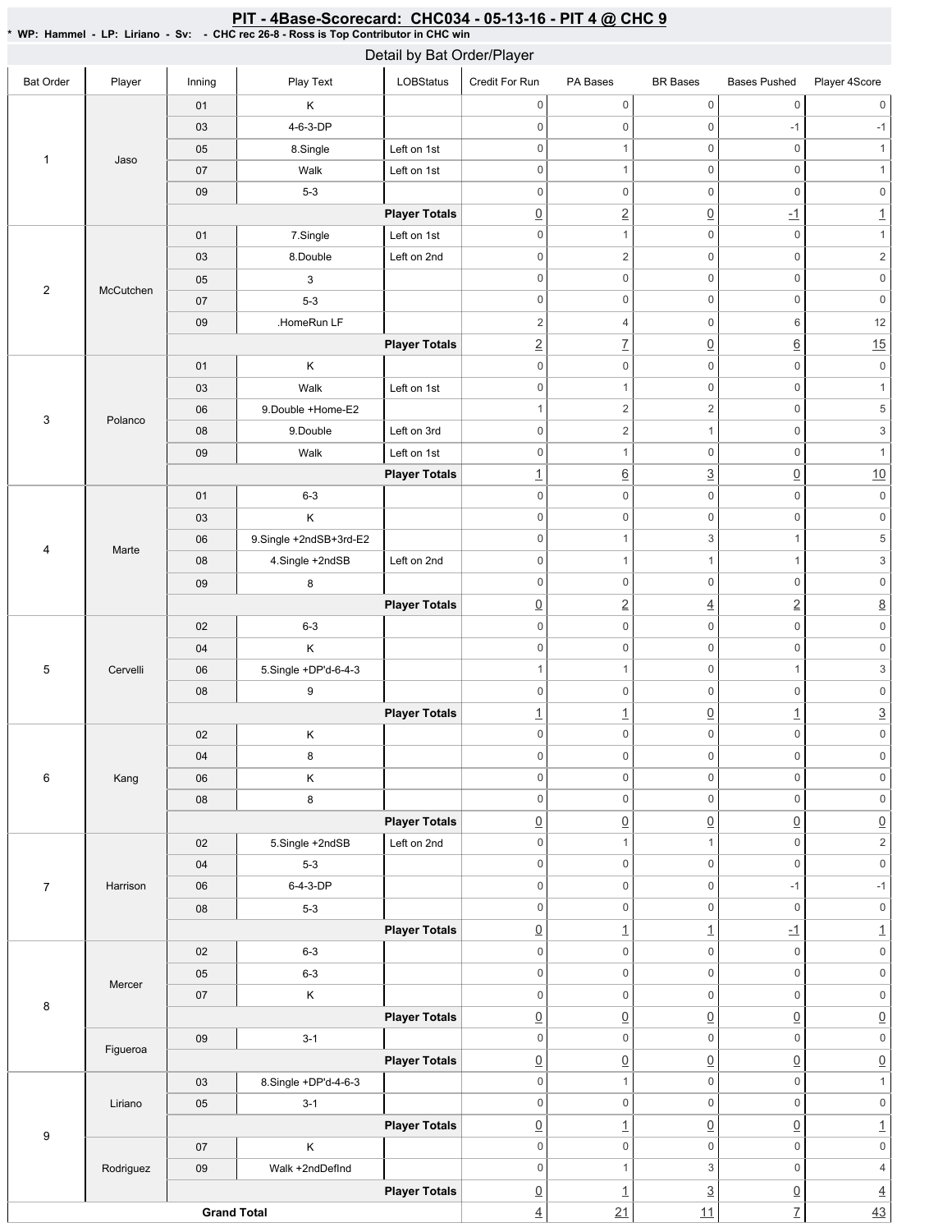|                           |           |                    | 1.00010101                | Detail by Bat Order/Player |                          |                     |                     |                          |                           |
|---------------------------|-----------|--------------------|---------------------------|----------------------------|--------------------------|---------------------|---------------------|--------------------------|---------------------------|
| <b>Bat Order</b>          | Player    | Inning             | Play Text                 | <b>LOBStatus</b>           | Credit For Run           | PA Bases            | <b>BR</b> Bases     | <b>Bases Pushed</b>      | Player 4Score             |
|                           |           | 01                 | Κ                         |                            | $\mathsf 0$              | $\mathsf{O}\xspace$ | $\mathsf{O}\xspace$ | $\mathsf{O}\xspace$      | $\boldsymbol{0}$          |
|                           |           | 03                 | 4-6-3-DP                  |                            | $\mathbf 0$              | 0                   | $\mathsf{O}\xspace$ | $-1$                     | $-1$                      |
|                           |           | 05                 | 8.Single                  | Left on 1st                | $\mathbf 0$              | $\mathbf{1}$        | $\mathsf{O}\xspace$ | $\mathsf{O}\xspace$      | $\mathbf{1}$              |
| $\mathbf{1}$              | Jaso      | 07                 | Walk                      | Left on 1st                | $\mathbf 0$              | $\mathbf{1}$        | $\mathsf 0$         | $\mathbf 0$              | 1                         |
|                           |           | 09                 | $5-3$                     |                            | $\mathbf 0$              | $\mathsf{O}\xspace$ | $\mathsf 0$         | $\mathsf{O}\xspace$      | $\mathsf{O}\xspace$       |
|                           |           |                    |                           | <b>Player Totals</b>       | $\underline{0}$          | $\underline{2}$     | $\overline{0}$      | $-1$                     | $\overline{1}$            |
|                           |           | 01                 | 7.Single                  | Left on 1st                | $\mathsf 0$              | $\mathbf{1}$        | $\mathsf 0$         | $\mathbb O$              | $\mathbf{1}$              |
|                           |           | 03                 | 8.Double                  | Left on 2nd                | $\mathbf 0$              | $\overline{c}$      | $\mathsf 0$         | $\mathbf 0$              | $\sqrt{2}$                |
|                           |           | 05                 | $\ensuremath{\mathsf{3}}$ |                            | $\mathsf 0$              | $\mathsf{O}\xspace$ | $\mathsf{O}\xspace$ | $\mathbf 0$              | $\mathsf{O}\xspace$       |
| $\overline{2}$            | McCutchen | 07                 | $5-3$                     |                            | $\mathbf 0$              | $\mathsf{O}\xspace$ | $\mathsf{O}\xspace$ | $\mathsf{O}\xspace$      | $\mathsf{0}$              |
|                           |           | 09                 | .HomeRun LF               |                            | $\overline{c}$           | $\overline{4}$      | $\mathsf{O}\xspace$ | 6                        | 12                        |
|                           |           |                    |                           | <b>Player Totals</b>       | $\underline{2}$          | $\underline{7}$     | $\overline{0}$      | $\underline{6}$          | 15                        |
|                           |           | 01                 | K                         |                            | $\mathbf 0$              | $\mathsf{O}\xspace$ | $\mathsf 0$         | $\mathsf{O}\xspace$      | $\mathsf{O}\xspace$       |
|                           |           | 03                 | Walk                      | Left on 1st                | $\mathbf 0$              | $\mathbf{1}$        | $\mathbf 0$         | $\mathbf 0$              | $\mathbf{1}$              |
|                           |           | 06                 | 9.Double +Home-E2         |                            | $\mathbf{1}$             | $\overline{c}$      | $\overline{c}$      | $\mathbf 0$              | $\,$ 5 $\,$               |
| $\ensuremath{\mathsf{3}}$ | Polanco   | 08                 | 9.Double                  | Left on 3rd                | $\mathbf 0$              | $\overline{2}$      | $\mathbf{1}$        | $\mathsf{O}\xspace$      | $\ensuremath{\mathsf{3}}$ |
|                           |           | 09                 | Walk                      | Left on 1st                | $\mathbf 0$              | $\mathbf{1}$        | $\mathbf 0$         | $\mathsf{O}\xspace$      | $\mathbf{1}$              |
|                           |           |                    |                           | <b>Player Totals</b>       | $\underline{\mathbf{1}}$ | $\underline{6}$     | $\overline{3}$      | $\underline{0}$          | 10                        |
|                           |           | 01                 | $6 - 3$                   |                            | $\mathsf 0$              | $\mathsf{O}\xspace$ | $\mathsf{O}\xspace$ | $\mathsf{O}\xspace$      | $\mathsf{O}\xspace$       |
|                           |           | 03                 | $\sf K$                   |                            | $\mathbf 0$              | $\mathsf{O}\xspace$ | $\mathbf 0$         | $\mathsf{O}\xspace$      | $\mathsf{O}\xspace$       |
|                           |           | 06                 | 9.Single +2ndSB+3rd-E2    |                            | $\mathbf 0$              | $\mathbf{1}$        | 3                   | $\mathbf{1}$             | $\,$ 5 $\,$               |
| $\overline{\mathbf{4}}$   | Marte     | 08                 | 4.Single +2ndSB           | Left on 2nd                | $\mathbf 0$              | $\mathbf{1}$        | $\mathbf{1}$        | $\mathbf{1}$             | $\ensuremath{\mathsf{3}}$ |
|                           |           | 09                 | 8                         |                            | $\mathbf 0$              | $\mathsf{O}\xspace$ | $\mathbf 0$         | $\mathsf{O}\xspace$      | $\mathsf{O}\xspace$       |
|                           |           |                    |                           | <b>Player Totals</b>       | $\underline{0}$          | $\underline{2}$     | $\overline{4}$      | $\underline{2}$          | $\underline{8}$           |
|                           |           | 02                 | $6 - 3$                   |                            | $\mathbf 0$              | $\mathsf{O}\xspace$ | $\mathsf{O}\xspace$ | $\mathbf 0$              | $\mathsf{O}\xspace$       |
|                           |           | 04                 | Κ                         |                            | $\mathbf 0$              | $\mathsf{O}\xspace$ | $\mathbf 0$         | $\mathsf{O}\xspace$      | $\mathsf{0}$              |
| $\mathbf 5$               | Cervelli  | 06                 | 5.Single +DP'd-6-4-3      |                            | $\mathbf{1}$             | $\mathbf{1}$        | $\mathsf{O}\xspace$ | $\mathbf{1}$             | $\ensuremath{\mathsf{3}}$ |
|                           |           | ${\bf 08}$         | 9                         |                            | $\mathbf 0$              | 0                   | $\mathsf 0$         | $\mathbf 0$              | $\mathsf{O}\xspace$       |
|                           |           |                    |                           | <b>Player Totals</b>       | $\overline{1}$           | $\overline{1}$      | $\overline{0}$      | $\underline{\mathbf{1}}$ | $\overline{3}$            |
|                           |           | 02                 | $\sf K$                   |                            | $\Omega$                 | 0                   | $\overline{0}$      | 0                        | $\Omega$                  |
|                           |           | 04                 | 8                         |                            | $\boldsymbol{0}$         | 0                   | $\mathsf 0$         | $\mathsf{O}\xspace$      | $\mathsf{O}\xspace$       |
| 6                         | Kang      | 06                 | Κ                         |                            | $\mathbf 0$              | 0                   | $\mathsf 0$         | $\mathsf 0$              | $\mathsf{O}\xspace$       |
|                           |           | 08                 | 8                         |                            | $\mathbf 0$              | $\mathbf 0$         | $\mathsf 0$         | $\mathsf{O}$             | $\mathsf{O}\xspace$       |
|                           |           |                    |                           | <b>Player Totals</b>       | $\underline{0}$          | $\underline{0}$     | $\underline{0}$     | $\underline{0}$          | $\underline{0}$           |
|                           |           | 02                 | 5.Single +2ndSB           | Left on 2nd                | $\mathbf 0$              | $\mathbf{1}$        | $\mathbf{1}$        | $\mathbb O$              | $\mathbf 2$               |
|                           |           | 04                 | $5-3$                     |                            | $\mathbf 0$              | $\mathsf{O}\xspace$ | $\mathsf 0$         | $\mathsf{O}\xspace$      | $\mathsf{0}$              |
| $\overline{7}$            | Harrison  | 06                 | 6-4-3-DP                  |                            | $\mathsf{O}\xspace$      | $\mathsf{O}\xspace$ | $\mathsf{O}\xspace$ | $-1$                     | $-1$                      |
|                           |           | 08                 | $5-3$                     |                            | $\mathbf 0$              | $\mathsf{O}\xspace$ | $\mathsf 0$         | $\mathbb O$              | $\mathsf{O}\xspace$       |
|                           |           |                    |                           | <b>Player Totals</b>       | $\underline{0}$          | $\overline{1}$      | $\overline{1}$      | $-1$                     | $\overline{1}$            |
|                           |           | 02                 | $6 - 3$                   |                            | $\mathsf{O}\xspace$      | $\mathsf{O}\xspace$ | $\mathsf{O}\xspace$ | $\mathsf{O}\xspace$      | $\mathsf{O}\xspace$       |
|                           |           | 05                 | $6 - 3$                   |                            | $\mathbf 0$              | 0                   | $\mathsf 0$         | $\mathsf{O}\xspace$      | $\mathsf{O}\xspace$       |
|                           | Mercer    | 07                 | Κ                         |                            | $\mathbf 0$              | $\mathsf{O}\xspace$ | $\mathsf 0$         | $\mathsf{O}\xspace$      | $\mathsf{O}\xspace$       |
| 8                         |           |                    |                           | <b>Player Totals</b>       | $\underline{0}$          | $\underline{0}$     | $\overline{0}$      | $\underline{0}$          | $\underline{0}$           |
|                           |           | 09                 | $3-1$                     |                            | $\mathbf 0$              | $\mathsf{O}\xspace$ | $\mathsf 0$         | $\mathsf{O}\xspace$      | $\mathsf{0}$              |
|                           | Figueroa  |                    |                           | <b>Player Totals</b>       | $\underline{0}$          | $\underline{0}$     | $\underline{0}$     | $\underline{0}$          | $\underline{0}$           |
|                           |           | 03                 | 8.Single +DP'd-4-6-3      |                            | $\mathsf 0$              | $\mathbf{1}$        | $\mathsf{O}\xspace$ | $\mathsf{O}\xspace$      | $\mathbf{1}$              |
|                           | Liriano   | 05                 | $3-1$                     |                            | $\mathbf 0$              | $\mathsf{O}\xspace$ | 0                   | $\mathsf{O}\xspace$      | $\mathsf{O}\xspace$       |
|                           |           |                    |                           | <b>Player Totals</b>       | $\underline{0}$          | $\overline{1}$      | $\underline{0}$     | $\underline{0}$          | $\underline{\mathbf{1}}$  |
| 9                         |           | 07                 | Κ                         |                            | $\mathsf 0$              | $\mathsf{O}\xspace$ | $\mathsf 0$         | $\mathbf 0$              | $\mathsf{O}\xspace$       |
|                           | Rodriguez | 09                 | Walk +2ndDefInd           |                            | $\mathsf 0$              | $\mathbf{1}$        | 3                   | $\mathsf{O}\xspace$      | $\overline{4}$            |
|                           |           |                    |                           | <b>Player Totals</b>       | $\underline{0}$          | $\overline{1}$      | $\underline{3}$     | $\underline{0}$          | $\overline{4}$            |
|                           |           | <b>Grand Total</b> |                           |                            | $\underline{4}$          | 21                  | 11                  | $\overline{1}$           | $\frac{43}{5}$            |

#### <u>PIT - 4Base-Scorecard: CHC034 - 05-13-16 - PIT 4 @ CHC 9</u>

\* WP: Hammel-LP: Liriano- Sv: - CHC rec 26-8 - Ross is Top Contributor in CHC win